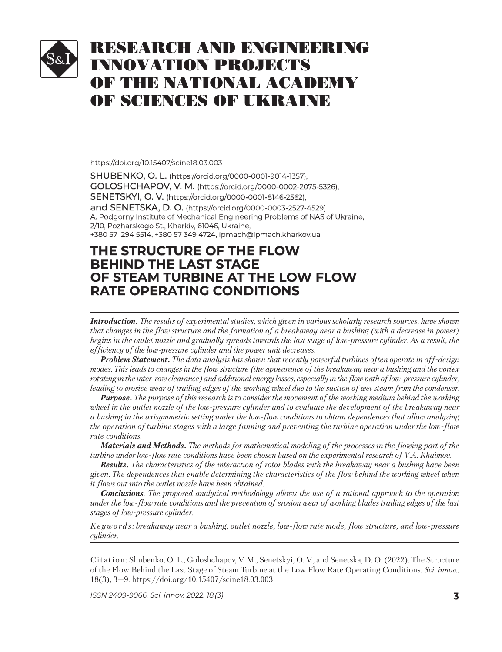# RESEARCH AND ENGINEERING INNOVATION PROJECTS OF THE NATIONAL ACADEMY OF SCIENCES OF UKRAINE

#### https://doi.org/10.15407/scine18.03.003

SHUBENKO, O. L. (https://orcid.org/0000-0001-9014-1357), GOLOSHCHAPOV, V. M. (https://orcid.org/0000-0002-2075-5326), SENETSKYI, O. V. (https://orcid.org/0000-0001-8146-2562), and SENETSKA, D. O. (https://orcid.org/0000-0003-2527-4529) A. Podgorny Institute of Mechanical Engineering Problems of NAS of Ukraine, 2/10, Pozharskogo St., Kharkiv, 61046, Ukraine, +380 57 294 5514, +380 57 349 4724, ipmach@ipmach.kharkov.ua 380 57 294 5514, +380 57 349 4724,

## **THE STRUCTURE OF THE FLOW HE STRUCTURE OF THE FLOW BEHIND THE LAST STAGE EHIND THE LAST STAGE OF STEAM TURBINE AT THE LOW FLOW RATE OPERATING CONDITIONS**

*Introduction. The results of experimental studies, which given in various scholarly research sources, have shown that changes in the flow structure and the formation of a breakaway near a bushing (with a decrease in power)* begins in the outlet nozzle and gradually spreads towards the last stage of low-pressure cylinder. As a result, the *efficiency of the low-pressure cylinder and the power unit decreases.*

*Problem Statement. The data analysis has shown that recently powerful turbines often operate in off-design modes. This leads to changes in the flow structure (the appearance of the breakaway near a bushing and the vortex rotating in the inter-row clearance) and additional energy losses, especially in the flow path of low-pressure cylinder, leading to erosive wear of trailing edges of the working wheel due to the suction of wet steam from the condenser.*

*Purpose. The purpose of this research is to consider the movement of the working medium behind the working wheel in the outlet nozzle of the low-pressure cylinder and to evaluate the development of the breakaway near a bushing in the axisymmetric setting under the low-flow conditions to obtain dependences that allow analyzing the operation of turbine stages with a large fanning and preventing the turbine operation under the low-flow rate conditions.*

*Materials and Methods. The methods for mathematical modeling of the processes in the flowing part of the turbine under low-flow rate conditions have been chosen based on the experimental research of V.A. Khaimov.* 

*Results. The characteristics of the interaction of rotor blades with the breakaway near a bushing have been given. The dependences that enable determining the characteristics of the flow behind the working wheel when it flows out into the outlet nozzle have been obtained.*

*Conclusions. The proposed analytical methodology allows the use of a rational approach to the operation under the low-flow rate conditions and the prevention of erosion wear of working blades trailing edges of the last stages of low-pressure cylinder.*

*K e y w o r d s : breakaway near a bushing, outlet nozzle, low-flow rate mode, flow structure, and low-pressure cylinder.*

Citation: Shubenko, О. L., Goloshchapov, V. M., Senetskyi, О. V., and Senetska, D. О. (2022). The Structure of the Flow Behind the Last Stage of Steam Turbine at the Low Flow Rate Operating Conditions. *Sci. in nov.*, 18(3), 3—9. https:// doi.org/10.15407/sci ne18.03.003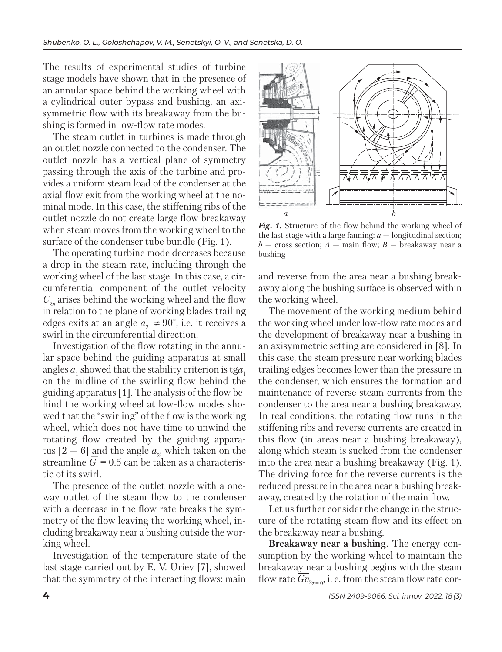The results of experimental studies of turbine stage models have shown that in the presence of an annular space behind the working wheel with a cylindrical outer bypass and bushing, an axisymmetric flow with its breakaway from the bushing is formed in low-flow rate modes.

The steam outlet in turbines is made through an outlet nozzle connected to the condenser. The outlet nozzle has a vertical plane of symmetry passing through the axis of the turbine and provides a uniform steam load of the condenser at the axial flow exit from the working wheel at the nominal mode. In this case, the stiffening ribs of the outlet nozzle do not create large flow breakaway when steam moves from the working wheel to the surface of the condenser tube bundle (Fig. 1).

The operating turbine mode decreases because a drop in the steam rate, including through the working wheel of the last stage. In this case, a circumferential component of the outlet velocity  $C_{2u}$  arises behind the working wheel and the flow in relation to the plane of working blades trailing edges exits at an angle  $a_2 \neq 90^\circ$ , i.e. it receives a swirl in the circumferential direction.

Investigation of the flow rotating in the annular space behind the guiding apparatus at small angles  $a_1$  showed that the stability criterion is tg $a_1$ on the midline of the swirling flow behind the guiding apparatus [1]. The analysis of the flow behind the working wheel at low-flow modes showed that the "swirling" of the flow is the working wheel, which does not have time to unwind the rotating flow created by the guiding apparatus  $[2-6]$  and the angle  $a_{2}$ , which taken on the streamline  $\overline{G} = 0.5$  can be taken as a characteristic of its swirl.

The presence of the outlet nozzle with a oneway outlet of the steam flow to the condenser with a decrease in the flow rate breaks the symmetry of the flow leaving the working wheel, including breakaway near a bushing outside the working wheel.

Investigation of the temperature state of the last stage carried out by E. V. Uriev [7], showed that the symmetry of the interacting flows: main



*Fig. 1.* Structure of the flow behind the working wheel of the last stage with a large fanning:  $a$  — longitudinal section;  $b$  — cross section;  $A$  — main flow;  $B$  — breakaway near a bushing

and reverse from the area near a bushing breakaway along the bushing surface is observed within the working wheel.

The movement of the working medium behind the working wheel under low-flow rate modes and the development of breakaway near a bushing in an axisymmetric setting are considered in [8]. In this case, the steam pressure near working blades trailing edges becomes lower than the pressure in the condenser, which ensures the formation and maintenance of reverse steam currents from the condenser to the area near a bushing breakaway. In real conditions, the rotating flow runs in the stiffening ribs and reverse currents are created in this flow (in areas near a bushing breakaway), along which steam is sucked from the condenser into the area near a bushing breakaway (Fig. 1). The driving force for the reverse currents is the reduced pressure in the area near a bushing breakaway, created by the rotation of the main flow.

Let us further consider the change in the structure of the rotating steam flow and its effect on the breakaway near a bushing.

**Breakaway near a bushing.** The energy consumption by the working wheel to maintain the breakaway near a bushing begins with the steam flow rate  $\overline{Gv}_{2z=0}$ , i. e. from the steam flow rate cor-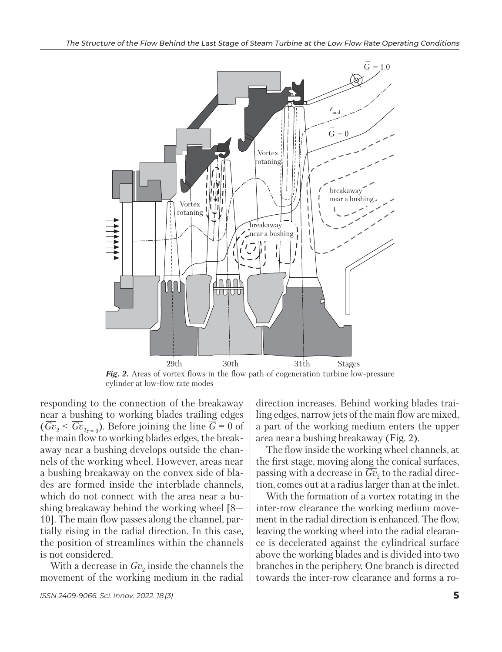

*Fig. 2.* Areas of vortex flows in the flow path of cogeneration turbine low-pressure cy linder at low-flow rate modes

responding to the connection of the breakaway near a bushing to working blades trailing edges  $(\overline{Gv}_2 < \overline{Gv}_{2z=0})$ . Before joining the line  $\overline{\overline{G}} = 0$  of the main flow to working blades edges, the breakaway near a bushing develops outside the channels of the working wheel. However, areas near a bushing breakaway on the convex side of blades are formed inside the interblade channels, which do not connect with the area near a bushing break away behind the working wheel  $[8-$ 10]. The main flow passes along the channel, partially rising in the radial direction. In this case, the position of streamlines within the channels is not considered.

With a decrease in  $\overline{Gv}_2$  inside the channels the movement of the working medium in the radial direction increases. Behind working blades trailing edges, narrow jets of the main flow are mixed, a part of the working medium enters the upper area near a bushing breakaway (Fig. 2).

The flow inside the working wheel channels, at the first stage, moving along the conical surfaces, passing with a decrease in  $\overline{Gv}_2$  to the radial direction, comes out at a radius larger than at the inlet.

With the formation of a vortex rotating in the inter-row clearance the working medium movement in the radial direction is enhanced. The flow, leaving the working wheel into the radial clearance is decelerated against the cylindrical surface above the working blades and is divided into two branches in the periphery. One branch is directed towards the inter-row clearance and forms a ro-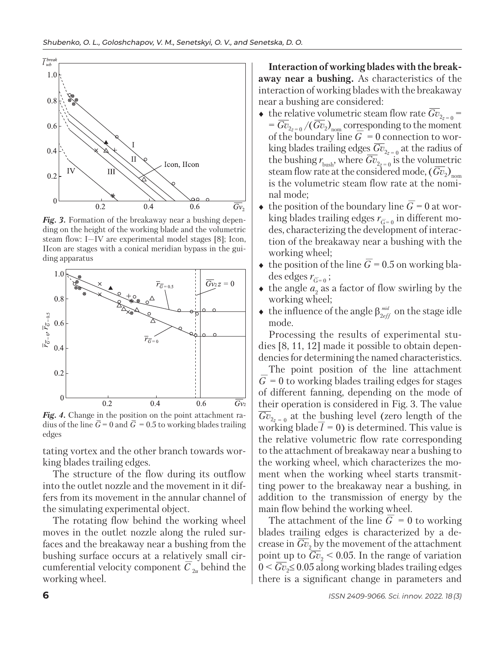

Fig. 3. Formation of the breakaway near a bushing depending on the height of the working blade and the volumetric steam flow: I—IV are experimental model stages [8]; Icon, IIcon are stages with a conical meridian bypass in the guiding apparatus



Fig. 4. Change in the position on the point attachment radius of the line  $\bar{G} = 0$  and  $\bar{G} = 0.5$  to working blades trailing edges

tating vortex and the other branch towards working blades trailing edges.

The structure of the flow during its outflow into the outlet nozzle and the movement in it differs from its movement in the annular channel of the simulating experimental object.

The rotating flow behind the working wheel moves in the outlet nozzle along the ruled surfaces and the breakaway near a bushing from the bushing surface occurs at a relatively small circumferential velocity component  $\overline{C}_{2u}$  behind the working wheel.

**Interaction of working blades with the breakaway near a bushing.** As characteristics of the interaction of working blades with the breakaway near a bushing are considered:

- $\bullet$  the relative volumetric steam flow rate  $\overline{Gv}_{2z=0}$  =  $=\overline{Gv}_{2z=0}/(Gv_2)_{\text{nom}}$  corresponding to the moment of the boundary line  $\overline{G} = 0$  connection to working blades trailing edges  $\overline{Gv}_{2z=0}$  at the radius of the bushing  $r_{\text{bush}}$ , where  $\overline{Gv}_{2z=0}$  is the volumetric steam flow rate at the considered mode, (*Gv<sub>2</sub>*)<sub>nom</sub><br>is the volumetric steam flow rate at the nominal mode;
- $\bullet$  the position of the boundary line  $\overline{G} = 0$  at working blades trailing edges  $r_{\overline{G}-0}$  in different modes, characterizing the development of interaction of the breakaway near a bushing with the working wheel;
- $\bullet$  the position of the line  $\overline{G}$  = 0.5 on working bla- $\text{des edges } r_{\overline{G} = 0}$ ;
- $\bullet$  the angle  $a_2$  as a factor of flow swirling by the working wheel;
- $\bullet$  the influence of the angle  $\beta_{2eff}^{mid}$  on the stage idle mode.

Processing the results of experimental studies [8, 11, 12] made it possible to obtain dependencies for determining the named characteristics.

The point position of the line attachment  $\overline{G} = 0$  to working blades trailing edges for stages of different fanning, depending on the mode of their operation is considered in Fig. 3. The value  $\overline{Gv}_{2z}$  at the bushing level (zero length of the working blade  $l = 0$ ) is determined. This value is the relative volumetric flow rate corresponding to the attachment of breakaway near a bushing to the working wheel, which characterizes the moment when the working wheel starts transmitting power to the breakaway near a bushing, in addition to the transmission of energy by the main flow behind the working wheel.

The attachment of the line  $\overline{G} = 0$  to working blades trailing edges is characterized by a decrease in  $Gv_2$  by the movement of the attachment point up to  $\overline{Gv}_2$  < 0.05. In the range of variation 0 < *Gv*<sub>2</sub>≤ 0.05 along working blades trailing edges there is a significant change in parameters and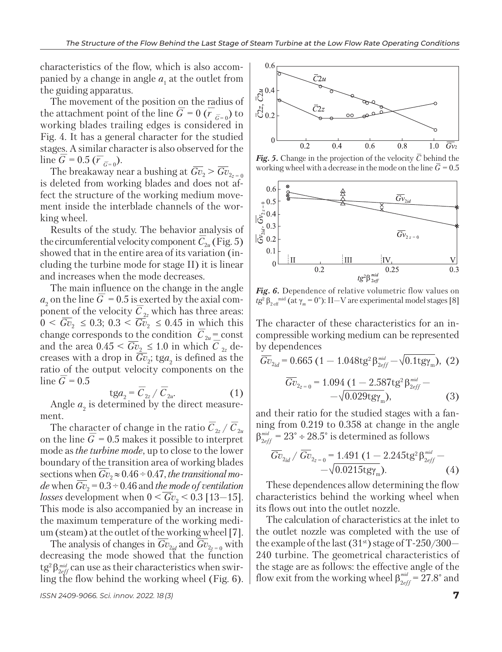characteristics of the flow, which is also accompanied by a change in angle  $a_1$  at the outlet from the guiding apparatus.

The movement of the position on the radius of the attachment point of the line  $\overline{G} = 0$  ( $\overline{r}$  $\bar{G}$  = 0) to working blades trailing edges is considered in Fig. 4. It has a general character for the studied stages. A similar character is also observed for the  $\lim_{\overline{G}} \overline{G} = 0.5 \; (\overline{r}_{\overline{G}=0}).$ 

The breakaway near a bushing at  $\overline{Gv}_2 > \overline{Gv}_{2z=0}$ is deleted from working blades and does not affect the structure of the working medium movement inside the interblade channels of the working wheel.

Results of the study. The behavior analysis of the circumferential velocity component  $\overline{C}_{2u}$  (Fig. 5) showed that in the entire area of its variation (including the turbine mode for stage II) it is linear and increases when the mode decreases.

The main influence on the change in the angle  $a_2$  on the line  $\overline{G} = 0.5$  is exerted by the axial component of the velocity  $\overline{C}$ 2*z* which has three areas:  $0 < \overline{Gv}_2 \leq 0.3$ ;  $0.3 < \overline{Gv}_2 \leq 0.45$  in which this change corresponds to the condition  $\overline{C}_{2u}$  = const and the area  $0.45 \le \overline{Gv}_2 \le 1.0$  in which  $\overline{C}$ 2*z* decreases with a drop in  $Gv_2$ ; tga<sub>2</sub> is defined as the ratio of the output velocity components on the  $\frac{\text{Im} \sigma}{\text{Im} \epsilon} = 0.5$ 

$$
tga_2 = \overline{C}_{2z} / \overline{C}_{2u}.
$$
 (1)

Angle  $a_2$  is determined by the direct measurement.

The character of change in the ratio  $\overline{C}_{\text{2z}}$  /  $\overline{C}_{\text{2u}}$ on the line  $\overline{G} = 0.5$  makes it possible to interpret mode as *the turbine mode*, up to close to the lower boundary of the transition area of working blades sections when  $Gv_2 \approx 0.46 \div 0.47$ , *the transitional mode* when  $\overline{Gv}_2$  = 0.3 ÷ 0.46 and *the mode of ventilation losses* development when  $0 < Gv_2 < 0.3$  [13–15]. This mode is also accompanied by an increase in the maximum temperature of the working medium (steam) at the outlet of the working wheel [7].

The analysis of changes in  $\overline{Gv}_{2id}$  and  $\overline{Gv}_{2z=0}$  with decreasing the mode showed that the function tg<sup>2</sup>β<sub>2eff</sub> can use as their characteristics when swirling the flow behind the working wheel (Fig. 6).





*Fig.* 5. Change in the projection of the velocity  $\overline{C}$  behind the working wheel with a decrease in the mode on the line  $\bar{G} = 0.5$ 



*Fig. 6.* Dependence of relative volumetric flow values on *tg*<sup>2</sup> β<sub>2 eff</sub><sup>mid</sup> (at γ<sub>*m*</sub> = 0°): II—V are experimental model stages [8]

The character of these characteristics for an incompressible working medium can be represen ted by dependences

$$
\overline{Gv}_{2id} = 0.665 (1 - 1.048 \text{tg}^2 \beta_{2eff}^{\text{mid}} - \sqrt{0.1 \text{tg} \gamma_{\text{m}}}), (2)
$$

$$
\overline{Gv}_{2z=0} = 1.094 (1 - 2.587 \text{tg}^2 \beta_{2eff}^{\text{mid}} - \sqrt{0.029 \text{tg} \gamma_{\text{m}}}), (3)
$$

and their ratio for the studied stages with a fanning from 0.219 to 0.358 at change in the angle  $\beta_{2eff}^{\textit{\tiny mid}} = 23^{\circ} \div 28.5^{\circ}$  is determined as follows

$$
\frac{\overline{Gv}_{2id}}{\overline{Gv}_{2id}} / \overline{Gv}_{2z=0} = 1.491 (1 - 2.245 \text{tg}^2 \beta_{2eff}^{mid} - \sqrt{0.0215 \text{tg} \gamma_{m}}). \tag{4}
$$

These dependences allow determining the flow characteristics behind the working wheel when its flows out into the outlet nozzle.

The calculation of characteristics at the inlet to the outlet nozzle was completed with the use of the example of the last  $(31<sup>st</sup>)$  stage of T-250/300-240 turbine. The geometrical characteristics of the stage are as follows: the effective angle of the flow exit from the working wheel  $\beta_{2eff}^{mid} = 27.8^{\circ}$  and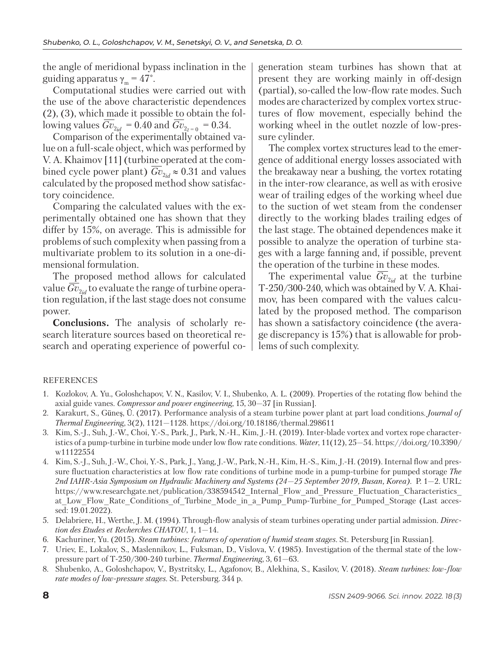the angle of meridional bypass inclination in the guiding apparatus  $\gamma_m = 47^\circ$ .

Computational studies were carried out with the use of the above characteristic dependences (2), (3), which made it possible to obtain the following values  $\overline{Gv}_{2id} = 0.40$  and  $\overline{Gv}_{2z=0} = 0.34$ .

Comparison of the experimentally obtained value on a full-scale object, which was performed by V. A. Khaimov [11] (turbine operated at the combined cycle power plant)  $\overline{Gv}_{2id} \approx 0.31$  and values calculated by the proposed method show satisfactory coincidence.

Comparing the calculated values with the experimentally obtained one has shown that they differ by 15%, on average. This is admissible for problems of such complexity when passing from a multivariate problem to its solution in a one-dimensional formulation.

The proposed method allows for calculated value  $\overline{Gv}_{2id}$  to evaluate the range of turbine operation regulation, if the last stage does not consume power.

**Conclusions.** The analysis of scholarly research literature sources based on theoretical research and operating experience of powerful cogeneration steam turbines has shown that at present they are working mainly in off-design (partial), so-called the low-flow rate modes. Such modes are characterized by complex vortex structures of flow movement, especially behind the working wheel in the outlet nozzle of low-pressure cylinder.

The complex vortex structures lead to the emergence of additional energy losses associated with the breakaway near a bushing, the vortex rotating in the inter-row clearance, as well as with erosive wear of trailing edges of the working wheel due to the suction of wet steam from the condenser directly to the working blades trailing edges of the last stage. The obtained dependences make it possible to analyze the operation of turbine stages with a large fanning and, if possible, prevent the operation of the turbine in these modes.

The experimental value  $\overline{Gv}_{2id}$  at the turbine T-250/300-240, which was obtained by V. A. Khaimov, has been compared with the values calculated by the proposed method. The comparison has shown a satisfactory coincidence (the average discrepancy is 15%) that is allowable for problems of such complexity.

### REFERENCES

- 1. Kozlokov, A. Yu., Goloshchapov, V. N., Kasilov, V. I., Shu benko, A. L. (2009). Properties of the rotating flow behind the axial guide vanes. *Compressor and power engineering*, 15, 30—37 [in Russian].
- 2. Karakurt, S., Güneş, Ü. (2017). Performance analysis of a steam turbine power plant at part load conditions. *Journal of Thermal Engineering*, 3(2), 1121—1128. https://doi.org/10.18186/thermal.298611
- 3. Kim, S.-J., Suh, J.-W., Choi, Y.-S., Park, J., Park, N.-H., Kim, J.-H. (2019). Inter-blade vortex and vortex rope characteristics of a pump-turbine in turbine mode under low flow rate conditions. *Water*, 11(12), 25—54. https://doi.org/10.3390/ w11122554
- 4. Kim, S.-J., Suh, J.-W., Choi, Y.-S., Park, J., Yang, J.-W., Park, N.-H., Kim, H.-S., Kim, J.-H. (2019). Internal flow and pressure fluctuation characteristics at low flow rate conditions of turbine mode in a pump-turbine for pumped storage *The 2nd IAHR-Asia Symposium on Hydraulic Machinery and Systems (24—25 September 2019, Busan, Korea)*. P. 1—2. URL: https://www.researchgate.net/publication/338594542 Internal Flow and Pressure Fluctuation Characteristics at Low Flow Rate Conditions of Turbine Mode in a Pump Pump-Turbine for Pumped Storage (Last accessed: 19.01.2022).
- 5. Delabriere, H., Werthe, J. M. (1994). Through-flow analysis of steam turbines operating under partial admission. *Direction des Etudes et Recherches CHATOU*, 1, 1—14.
- 6. Kachuriner, Yu. (2015). *Steam turbines: features of operation of humid steam stages.* St. Petersburg [in Russian].
- 7. Uriev, E., Lokalov, S., Maslennikov, L., Fuksman, D., Vislova, V. (1985). Investigation of the thermal state of the lowpressure part of T-250/300-240 turbine. *Thermal Engineering*, 3, 61—63.
- 8. Shubenko, A., Goloshchapov, V., Bystritsky, L., Agafonov, B., Alekhina, S., Kasilov, V. (2018). *Steam turbines: low-flow rate modes of low-pressure stages.* St. Petersburg. 344 р.